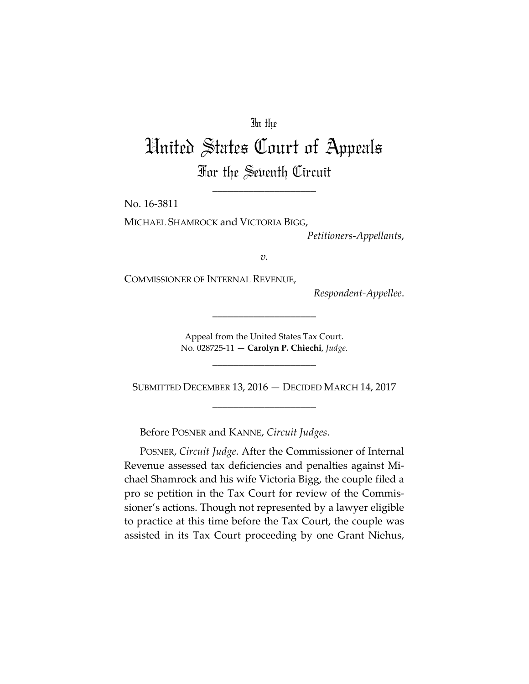## In the

## United States Court of Appeals For the Seventh Circuit

\_\_\_\_\_\_\_\_\_\_\_\_\_\_\_\_\_\_\_\_

No. 16-3811

MICHAEL SHAMROCK and VICTORIA BIGG,

*Petitioners-Appellants*,

*v.*

COMMISSIONER OF INTERNAL REVENUE,

*Respondent-Appellee*.

Appeal from the United States Tax Court. No. 028725-11 — **Carolyn P. Chiechi**, *Judge*.

\_\_\_\_\_\_\_\_\_\_\_\_\_\_\_\_\_\_\_\_

\_\_\_\_\_\_\_\_\_\_\_\_\_\_\_\_\_\_\_\_

SUBMITTED DECEMBER 13, 2016 — DECIDED MARCH 14, 2017 \_\_\_\_\_\_\_\_\_\_\_\_\_\_\_\_\_\_\_\_

Before POSNER and KANNE, *Circuit Judges*.

POSNER, *Circuit Judge*. After the Commissioner of Internal Revenue assessed tax deficiencies and penalties against Michael Shamrock and his wife Victoria Bigg, the couple filed a pro se petition in the Tax Court for review of the Commissioner's actions. Though not represented by a lawyer eligible to practice at this time before the Tax Court, the couple was assisted in its Tax Court proceeding by one Grant Niehus,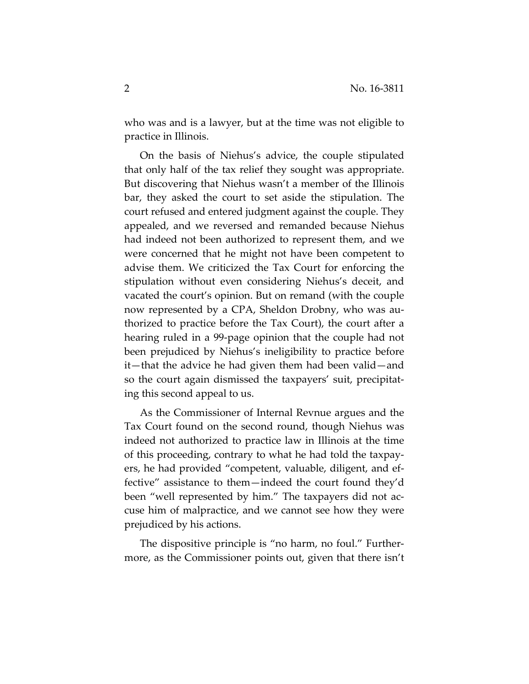who was and is a lawyer, but at the time was not eligible to practice in Illinois.

On the basis of Niehus's advice, the couple stipulated that only half of the tax relief they sought was appropriate. But discovering that Niehus wasn't a member of the Illinois bar, they asked the court to set aside the stipulation. The court refused and entered judgment against the couple. They appealed, and we reversed and remanded because Niehus had indeed not been authorized to represent them, and we were concerned that he might not have been competent to advise them. We criticized the Tax Court for enforcing the stipulation without even considering Niehus's deceit, and vacated the court's opinion. But on remand (with the couple now represented by a CPA, Sheldon Drobny, who was authorized to practice before the Tax Court), the court after a hearing ruled in a 99-page opinion that the couple had not been prejudiced by Niehus's ineligibility to practice before it—that the advice he had given them had been valid—and so the court again dismissed the taxpayers' suit, precipitating this second appeal to us.

As the Commissioner of Internal Revnue argues and the Tax Court found on the second round, though Niehus was indeed not authorized to practice law in Illinois at the time of this proceeding, contrary to what he had told the taxpayers, he had provided "competent, valuable, diligent, and effective" assistance to them—indeed the court found they'd been "well represented by him." The taxpayers did not accuse him of malpractice, and we cannot see how they were prejudiced by his actions.

The dispositive principle is "no harm, no foul." Furthermore, as the Commissioner points out, given that there isn't